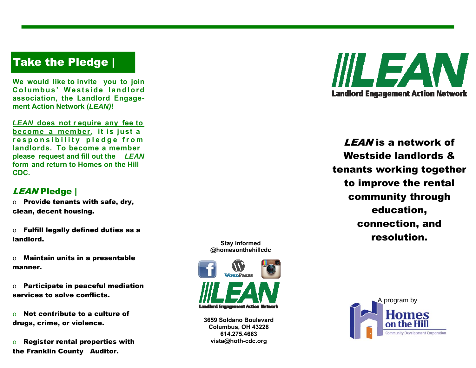# Take the Pledge |

**We would like to invite you to join**  Columbus' Westside landlord **association, the Landlord Engagement Action Network (***LEAN)***!** 

*LEAN* **does not r equire any fee to become a member, it is just a**  responsibility pledge from **landlords. To become a member please request and fill out the** *LEAN* **form and return to Homes on the Hill CDC.** 

### LEAN Pledge |

 $\rm o$  Provide tenants with safe, dry, clean, decent housing.

 $\rm o$   $\,$  Fulfill legally defined duties as a  $\,$ landlord.

 $\rm o$  Maintain units in a presentable manner.

 $\rm o$  - Participate in peaceful mediation  $\rm o$ services to solve conflicts.

 $\Omega$  Not contribute to a culture of drugs, crime, or violence.

 $\mathbf{O}$  Register rental properties with the Franklin County Auditor.





**3659 Soldano Boulevard Columbus, OH 43228 614.275.4663 vista@hoth-cdc.org** 



LEAN is a network of Westside landlords & tenants working together to improve the rental community through education, connection, and resolution.